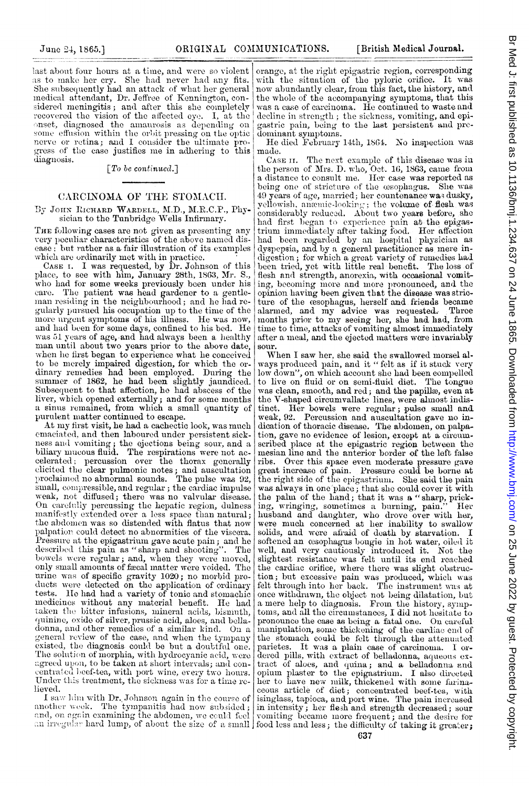last about four hours at a time, and were so violent as to make her cry. She had never had any fits. She subsequently had an attack of what her general medical attendant, Dr. Jeffree of Kennington, considered meningitis; and after this she completely recovered the vision of the affected eye. I, at the onset, diagnosed the amaurosis as depending on some effusion within the orbit pressing on the optic nerve or retina; and I consider the ultimate progress of the case justifies me in adhering to this diagnosis.

 $\lceil T_0 \text{ } be \text{ continued.} \rceil$ 

## CARCINOMA OF THE STOMACH.

By JOHN RICHARD WARDELL, M.D., M.R.C.P., Physician to the Tunbridge Wells Infirmary.

THE following cases are not given as presenting any very peculiar characteristics of the above named disease; but rather as a fair illustration of its examples which are ordinarily met with in practice.<br>CASE I. I was requested, by Dr. Johnson of this

place, to see with him, January 28th, 1863, Mr. S., who had for some weeks previously been under his care. The patient was head gardener to a gentleman residing in the neighbourhood; and he had regularly pursued his occupation up to the time of the more urgent symptoms of his illness. He was now, and had been for some days, confined to his bed. He was 51 years of age, and had always been a healthy man until about two years prior to the above date, when he first began to experience what he conceived to be merely impaired digestion, for which the ordinary remedies had been employed. During the summer of 1862, he had been slightly jaundiced. Subsequent to that affection, he had abscess of the liver, which opened externally; and for some months a sinus remained, from which a small quantity of purulent matter continued to escape.

At my first visit, he had a cachectic look, was much emaciated, and then laboured under persistent sickness and vomiting; the ejections being sour, and a biliary mucous fluid. The respirations were not accelerated; percussion over the thorax generally<br>clicited the clear pulmonic notes; and auscultation<br>proclaimed no abnormal sounds. The pulse was 92, small, compressible, and regular ; the cardiac impulse weak, not diffused; there was no valvular disease. On carefully percussing the hepatic region, dulness manifestly extended over a less space than natural; the abdomen was so distended with flatus that now palpation could detect no abnormities of the viscera. Pressure at the epigastrium gave acute pain; and he described this pain as "sharp and shooting". The bowels were regular; and, when they were moved. only small amounts of fæcal matter were voided. The urine was of specific gravity 1020; no morbid products were detected on the application of ordinary tests. He had had a variety of tonic and stomachic medicines without any material benefit. He had taken the bitter infusions, mineral acids, bismuth, quinine, exide of silver, prussic acid, aloes, and belladonna, and other remedies of a similar kind. On a general review of the case, and when the tympany existed, the diagnosis could be but a doubtful one. The solution of morphia, with hydrocyanic acid, were agreed upon, to be taken at short intervals; and concentrated beef-tea, with port wine, every two hours. Under this treatment, the sickness was for a time relieved.

I saw him with Dr. Johnson again in the course of<br>another week. The tympanitis had now subsided; and, on again examining the abdomen, we could feel

orange, at the right epigastric region, corresponding with the situation of the pyloric orifice. It was now abundantly clear, from this fact, the history, and the whole of the accompanying symptoms, that this was a case of carcinoma. He continued to waste and decline in strength; the sickness, vomiting, and epi-<br>gastric pain, being to the last persistent and predominant symptoms.

He died February 14th, 1864. No inspection was made.

CASE II. The next example of this disease was in the person of Mrs. D. who, Oct. 16, 1863, came from<br>a distance to consult me. Her case was reported as<br>being one of stricture of the osophagus. She was 49 years of age, married; her countenance was dusky, yellowish, anamic-looking; the volume of flesh was considerably reduced. About two years before, she had first began to experience pain at the epigasfrum immediately after taking food. Her affection<br>had been regarded by an hospital physician as dyspepsia, and by a general practitioner as mere indigestion; for which a great variety of remedies had<br>been tried, yet with little real benefit. The loss of flesh and strength, anorexia, with occasional vomiting, becoming more and more pronounced, and the opinion having been given that the disease was stricture of the esophagus, herself and friends became calarmed, and my advice was requested. Three months prior to my seeing her, she had had, from time to time, attacks of vomiting almost immediately after a meal, and the ejected matters were invariably sour.

When I saw her, she said the swallowed morsel always produced pain, and it "felt as if it stuck very low down", on which account she had been compelled<br>to live on fluid or on semi-fluid diet. The tongue was clean, smooth, and red; and the papillæ, even at the V-shaped circumvallate lines, were almost indistinct. Her bowels were regular; pulse small and weak, 92. Percussion and auscultation gave no indication of thoracic disease. The abdomen, on palpation, gave no evidence of lesion, except at a circumscribed place at the epigastric region between the mesian line and the anterior border of the left false ribs. Over this space even moderate pressure gave great increase of pain. Pressure could be borne at the right side of the epigastrium. She said the pain was always in one place; that she could cover it with<br>the palm of the hand; that it was a "sharp, prick-<br>the multiplier complimes a huming sain?" Hor ing, wringing, sometimes a burning, pain. Her husband and daughter, who drove over with her, were much concerned at her inability to swallow solids, and were afraid of death by starvation. I softened an esophagus bougie in hot water, oiled it well, and very cautiously introduced it. Not the slightest resistance was felt until its end reached the cardiac orifice, where there was slight obstruction; but excessive pain was produced, which was<br>felt through into her back. The instrument was at once withdrawn, the object not being dilatation, but<br>a mere help to diagnosis. From the history, symptoms, and all the circumstances, I did not hesitate to pronounce the case as being a fatal one. On careful pronounced in some thickening of the cardiac end of the stomach could be felt through the attenuated parietes. It was a plain case of carcinoma. I ordered pills, with extract of belladonna, aqueous extract of aloes, and quina; and a belladonna and opium plaster to the epigastrium. I also directed her to have new milk, thickened with some furinaisinglass, tapioca, and port wine. The pain increased in intensity; her flesh and strength decreased; sour vomiting became more frequent; and the desire for an irregular hard lump, of about the size of a small food less and less; the difficulty of taking it greater;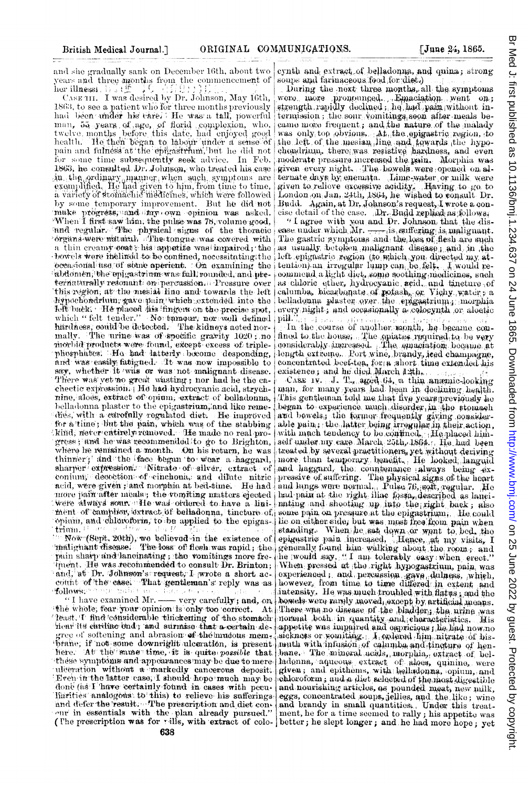and she gradually sank on December 16th, about two years and three months from the commencement of<br>her illnessied by the commencement of<br>CASETH. I was desired by Dr. Johnson, May 16th,

1863, to see a patient who for three months previously had been under his tare). He was a tall, powerful<br>man, 55 years of age, of florid complexion, who,<br>twelve months before this date, had enjoyed good health. He then began to labour under a sense of pain and fulness at the epigastrum, but he did not for some time subsequently seek advice. In Feb. 1863, he consulted Dr. Johnson, who treated his case in the ordinary manner when such symptoms are<br>examplified. He had given to him, from time to time,<br>a variety of stomachic inedictines, which were followed by some temporary improvement. But he did not make progress, and my own opinion was asked. When I first saw him, the pulse was 78, volume good, and regular. The physical signs of the thoracic organs were natural. The tongue was covered with The gastric symptons and the loss of flesh are such a thin creamy coat; his appetite was impaired; the bowels were inclined to be confined, necessitating the occasional use of some aperient. On examining the abdomen, the opigastrium was fall, rounded, and preternaturally resonant on percussion. Pressure over this region, at the mesial line and towards the left hypochondrium, gave pain which extended into the left back. He placed his fingers on the precise spot, which "felt tender." No tamour, nor well defined härdness, could be detected. The kidneys acted normally. The urine was of specific gravity 1020; no morbid products were found, except excess of triplephosphates: Ho had latterly become desponding, and was easily fatigued. It was now impossible to say, whether it was or was not malignant disease. There was vet no great wasting; nor had he the cachectic expression. He had hydrocyanic acid, strychnine, aloes, extract of opium, extract of belladonna, belladonna plaster to the epigastrium, and like remedies, with a carofully regulated diet. He improved<br>for a time; but the pain, which was of the stabbing kind, never entirely removed. He made no real progress; and he was recommended to go to Brighton, where he remained a month. On his return, he was thinner; and the face began to wear a haggard. sharper expression. Nitrate of silver, extract of conjum; decoction of cinchona, and dilute nitric acid, were given; and morphia at bed-time. He had more pain after meals; the vomiting matters ejected were always source He was ordered to have a linithent of camplion, extract of belladonna, tincture of some pain on pressure at the epigastrium, He could opinin, and chloroform, to be applied to the epigas- lie on either side, but was most free from pain when

pain sharp and lanoinating; the vomitings more frethent. He was recommended to consult Dr. Brinton; and, at Dr. Johnson's request, I wrote a short account of the case. That gentleman's reply was as follows: Hollows.

"I have examined Mr. - very carefully; and, on the whole, fear your opinion is only too correct. At 'least. I find considerable thickening of the stomach hear its cardine end; and surmise that a certain degree of softening and abrasion of the muddes memhere. At the same time, it is quite possible that. these symptoms and appearances may be due to mereulceration without a markedly cancerous deposit. Even in the latter case, I should hope much may be done (as I have certainly found in cases with peculiarities analogous to this) to relieve his sufferings. and defer the result. The prescription and diet conour in essentials with the plan already pursued."<br>(The prescription was for rills, with extract of colo-

cynth and extract of belladonna, and quina; strong soups and farinaceous food for diet.)

During the next three months, all the symptoms were more pronounced. Emaciation went on; strength rapidly declined; he had pain without intermission; the sour vomitings soon after meals became more frequent; and the nature of the malady was only too obvious. At the epigastric region, to the left of the mesian line and tewards the hypochondrium, there was resistive hardness, and even moderate pressure increased the pain. Morphia was given every night. The bowels were opened on alternate days by enemata. Lime-water or milk were given to relieve excessive acidity. Having to go to<br>London on Jan. 24th, 1864, he wished to consult Dr. Budd. Again, at Dr. Johnson's request, I wrote a concise detail of the case. Dr. Budd replied as follows:

"I agree with you and Dr. Johnson that the disease under which  $Mr. \longrightarrow$  is suffering is malignant. as usually betoken malignant disease; and in the left epignatric region (to which you directed my attention) an irregular lump can be felt. I would recommend a light diet, some soothing medicines, such as chloric ether, hydrocyanic acid, and tineture of calumba, hicarbonate of potash, or Vichy water, a belladonna plaster over the epigastrium; morphia every night, and occasionally a colocynth or aloctic  $|$  pill." al cars

In the course of another month, he became confined to the house. The emiates required to be very considerably increased. The emacration became at length extreme. Port wine, brandy, jeed champagne, concentrated beef-tea, for a short time extended his existence; and he died March 12th.

CASE 1v. J. T., aged 64, a thin anaemic-looking man, for many years had been in declining health. This gentleman told me that five years previously he began to experience much disorder in the stomach and bowels, the former frequently giving considerable pain; the latter being irregular in their action, with much tendency to be contined, He placed himself under my care March 25th, 1864. He had been treated by several practitioners, yet without deriving more than temporary benefit. He looked languid and haggard, the countenance always being expressive of suffering. The physical signs of the heart had pain at the right iliac fossa, described as laneinating and shooting up into the right back; also Thin, Figure 2011, We believed in the existence of epigesting. When he said dipp. or what the same that the contract of the contract of the same of the contract of the same of the contract of the same of the same increased he would say, "I am tolerably easy when erect." When pressed at the right hypogastrium, pain was experienced; and percussion gave dulness, which, however, from time to time differed in extent and intensity. He was much troubled with flatus; and the howels were rangly moved, except by artificial means. There was no disease of the bladder; the urine was normal both in quantity and eheracteristics. His sickness or somiting. I ordered him nitrate of his-<br>muth with infusion of calumba and tingture of henbane. The minoral acids, morphia, extract of belladonna, aqueous extract of aloes, quinine, were<br>given; and epithems, with helladonna, opium, and chloroform; and a diet selected of the most digestible and nourishing articles, as pounded meat, new milk, eggs, concentrated soups, jellies, and the like; wine and brandy in small quantities. Under this treatment, he for a time seemed to rally; his appetite was better; he slept longer; and he had more hope; yet